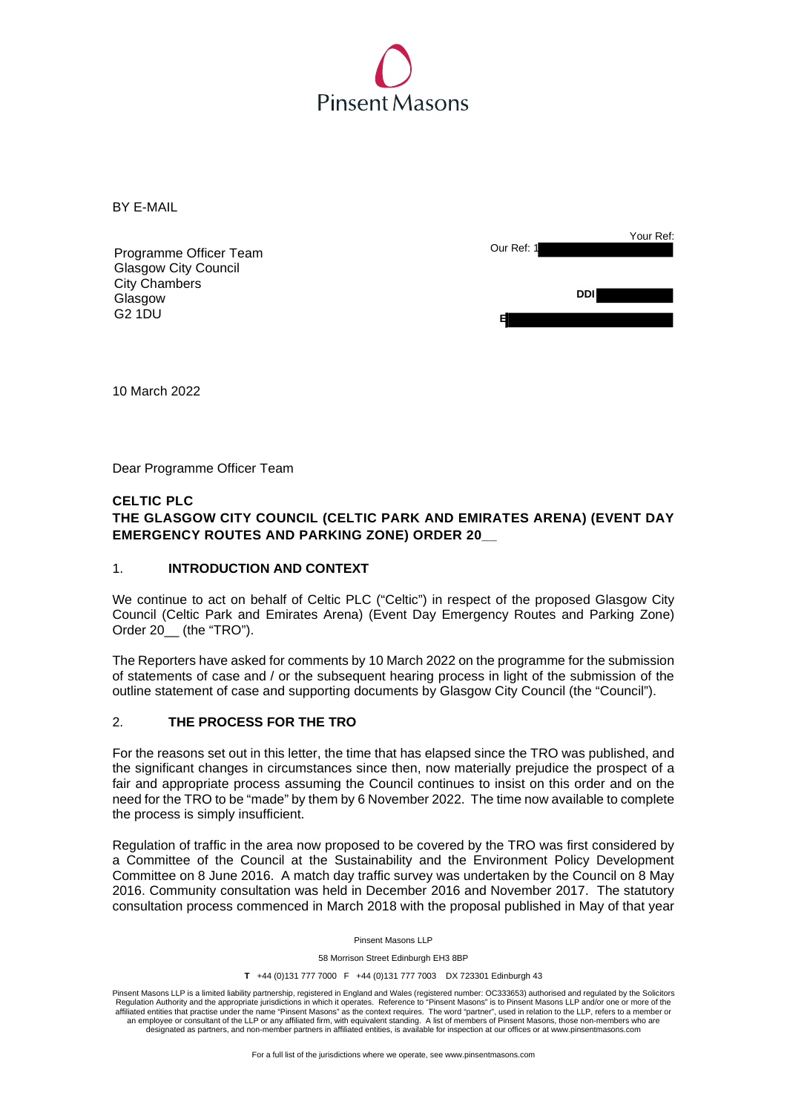

BY E-MAIL

|                             | Your Ref:  |
|-----------------------------|------------|
| Programme Officer Team      | Our Ref: 1 |
| <b>Glasgow City Council</b> |            |
| <b>City Chambers</b>        |            |
| Glasgow                     | <b>DDI</b> |
| <b>G2 1DU</b>               |            |
|                             |            |

10 March 2022

Dear Programme Officer Team

## **CELTIC PLC**

# **THE GLASGOW CITY COUNCIL (CELTIC PARK AND EMIRATES ARENA) (EVENT DAY EMERGENCY ROUTES AND PARKING ZONE) ORDER 20\_\_**

#### 1. **INTRODUCTION AND CONTEXT**

 We continue to act on behalf of Celtic PLC ("Celtic") in respect of the proposed Glasgow City Council (Celtic Park and Emirates Arena) (Event Day Emergency Routes and Parking Zone) Order 20\_\_ (the "TRO").

 The Reporters have asked for comments by 10 March 2022 on the programme for the submission of statements of case and / or the subsequent hearing process in light of the submission of the outline statement of case and supporting documents by Glasgow City Council (the "Council").

#### 2. **THE PROCESS FOR THE TRO**

 For the reasons set out in this letter, the time that has elapsed since the TRO was published, and the significant changes in circumstances since then, now materially prejudice the prospect of a fair and appropriate process assuming the Council continues to insist on this order and on the need for the TRO to be "made" by them by 6 November 2022. The time now available to complete the process is simply insufficient.

 Regulation of traffic in the area now proposed to be covered by the TRO was first considered by a Committee of the Council at the Sustainability and the Environment Policy Development Committee on 8 June 2016. A match day traffic survey was undertaken by the Council on 8 May 2016. Community consultation was held in December 2016 and November 2017. The statutory consultation process commenced in March 2018 with the proposal published in May of that year

Pinsent Masons LLP

58 Morrison Street Edinburgh EH3 8BP

**T** +44 (0)131 777 7000 F +44 (0)131 777 7003 DX 723301 Edinburgh 43

Pinsent Masons LLP is a limited liability partnership, registered in England and Wales (registered number: OC333653) authorised and regulated by the Solicitors<br>Regulation Authority and the appropriate jurisdictions in whic affiliated entities that practise under the name "Pinsent Masons" as the context requires. The word "partner", used in relation to the LLP, refers to a member or<br>an employee or consultant of the LLP or any affiliated firm, designated as partners, and non-member partners in affiliated entities, is available for inspection at our offices or at www.pinsentmasons.com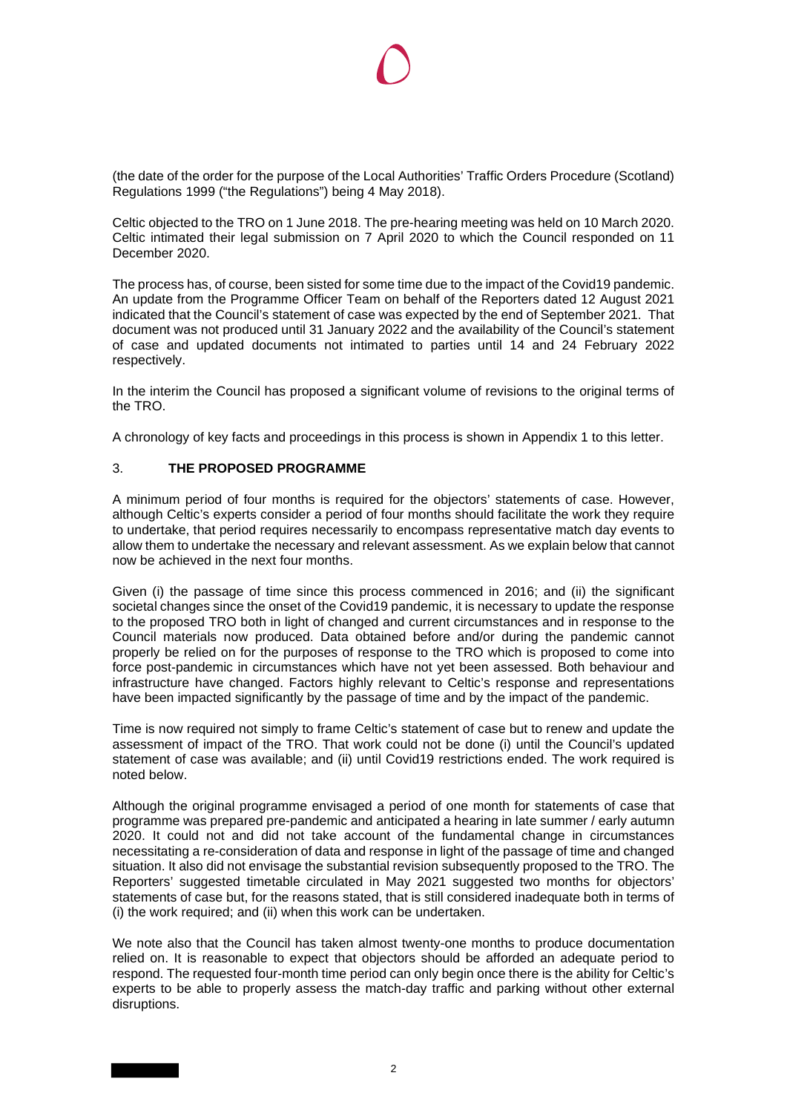(the date of the order for the purpose of the Local Authorities' Traffic Orders Procedure (Scotland) Regulations 1999 ("the Regulations") being 4 May 2018).

 Celtic objected to the TRO on 1 June 2018. The pre-hearing meeting was held on 10 March 2020. Celtic intimated their legal submission on 7 April 2020 to which the Council responded on 11 December 2020.

December 2020.<br>The process has, of course, been sisted for some time due to the impact of the Covid19 pandemic. An update from the Programme Officer Team on behalf of the Reporters dated 12 August 2021 indicated that the Council's statement of case was expected by the end of September 2021. That document was not produced until 31 January 2022 and the availability of the Council's statement of case and updated documents not intimated to parties until 14 and 24 February 2022 respectively.

respectively.<br>In the interim the Council has proposed a significant volume of revisions to the original terms of the TRO.

A chronology of key facts and proceedings in this process is shown in Appendix 1 to this letter.

## 3. **THE PROPOSED PROGRAMME**

 A minimum period of four months is required for the objectors' statements of case. However, although Celtic's experts consider a period of four months should facilitate the work they require to undertake, that period requires necessarily to encompass representative match day events to allow them to undertake the necessary and relevant assessment. As we explain below that cannot now be achieved in the next four months.

 Given (i) the passage of time since this process commenced in 2016; and (ii) the significant societal changes since the onset of the Covid19 pandemic, it is necessary to update the response to the proposed TRO both in light of changed and current circumstances and in response to the Council materials now produced. Data obtained before and/or during the pandemic cannot properly be relied on for the purposes of response to the TRO which is proposed to come into force post-pandemic in circumstances which have not yet been assessed. Both behaviour and infrastructure have changed. Factors highly relevant to Celtic's response and representations have been impacted significantly by the passage of time and by the impact of the pandemic.

 Time is now required not simply to frame Celtic's statement of case but to renew and update the assessment of impact of the TRO. That work could not be done (i) until the Council's updated statement of case was available; and (ii) until Covid19 restrictions ended. The work required is noted below.

 Although the original programme envisaged a period of one month for statements of case that programme was prepared pre-pandemic and anticipated a hearing in late summer / early autumn 2020. It could not and did not take account of the fundamental change in circumstances necessitating a re-consideration of data and response in light of the passage of time and changed situation. It also did not envisage the substantial revision subsequently proposed to the TRO. The Reporters' suggested timetable circulated in May 2021 suggested two months for objectors' statements of case but, for the reasons stated, that is still considered inadequate both in terms of (i) the work required; and (ii) when this work can be undertaken.

 We note also that the Council has taken almost twenty-one months to produce documentation relied on. It is reasonable to expect that objectors should be afforded an adequate period to respond. The requested four-month time period can only begin once there is the ability for Celtic's experts to be able to properly assess the match-day traffic and parking without other external disruptions. disruptions.<br>2<br>2<br>2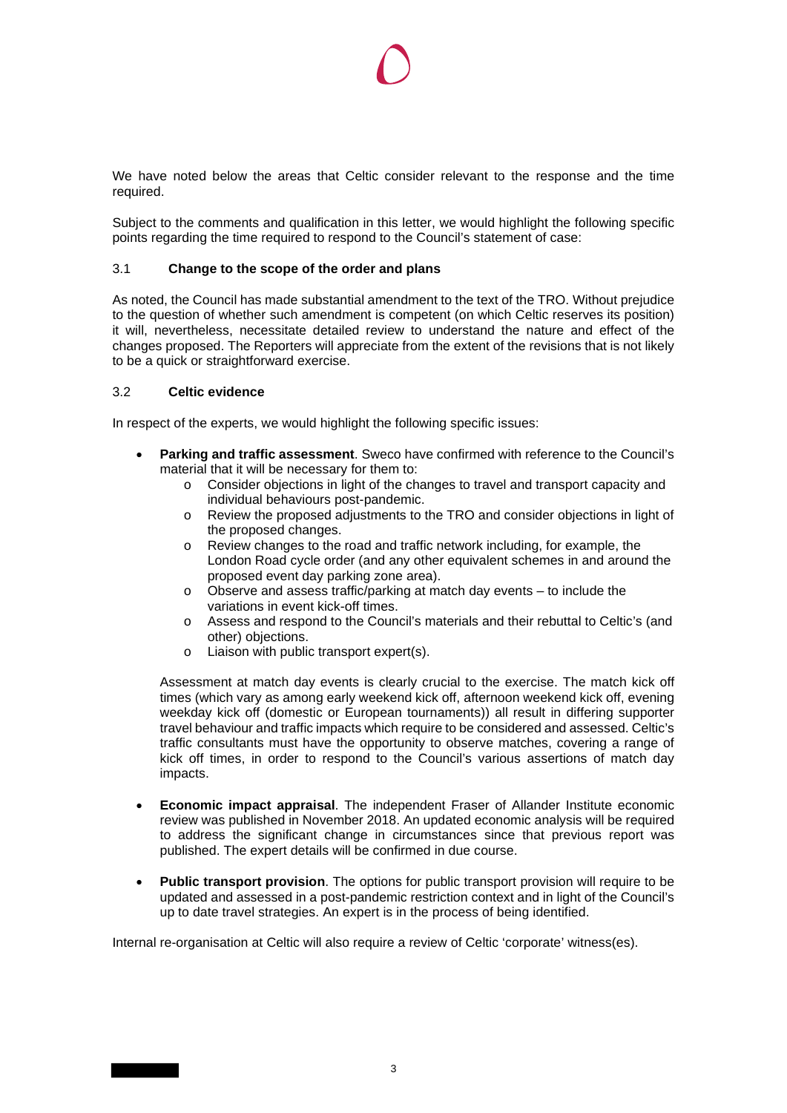We have noted below the areas that Celtic consider relevant to the response and the time required.

 Subject to the comments and qualification in this letter, we would highlight the following specific points regarding the time required to respond to the Council's statement of case:

## 3.1 **Change to the scope of the order and plans**

 As noted, the Council has made substantial amendment to the text of the TRO. Without prejudice to the question of whether such amendment is competent (on which Celtic reserves its position) it will, nevertheless, necessitate detailed review to understand the nature and effect of the changes proposed. The Reporters will appreciate from the extent of the revisions that is not likely to be a quick or straightforward exercise.

## 3.2 **Celtic evidence**

In respect of the experts, we would highlight the following specific issues:

- **Parking and traffic assessment**. Sweco have confirmed with reference to the Council's material that it will be necessary for them to:
	- $\circ$  Consider objections in light of the changes to travel and transport capacity and individual behaviours post-pandemic.
	- $\circ$  Review the proposed adjustments to the TRO and consider objections in light of the proposed changes.
	- o Review changes to the road and traffic network including, for example, the London Road cycle order (and any other equivalent schemes in and around the proposed event day parking zone area).
	- $\circ$  Observe and assess traffic/parking at match day events to include the variations in event kick-off times.
	- o Assess and respond to the Council's materials and their rebuttal to Celtic's (and other) objections.
	- $\circ$ Liaison with public transport expert(s).

 Assessment at match day events is clearly crucial to the exercise. The match kick off times (which vary as among early weekend kick off, afternoon weekend kick off, evening weekday kick off (domestic or European tournaments)) all result in differing supporter travel behaviour and traffic impacts which require to be considered and assessed. Celtic's traffic consultants must have the opportunity to observe matches, covering a range of kick off times, in order to respond to the Council's various assertions of match day impacts.

- **Economic impact appraisal**. The independent Fraser of Allander Institute economic review was published in November 2018. An updated economic analysis will be required to address the significant change in circumstances since that previous report was published. The expert details will be confirmed in due course.
- **Public transport provision**. The options for public transport provision will require to be updated and assessed in a post-pandemic restriction context and in light of the Council's up to date travel strategies. An expert is in the process of being identified.

Internal re-organisation at Celtic will also require a review of Celtic 'corporate' witness(es).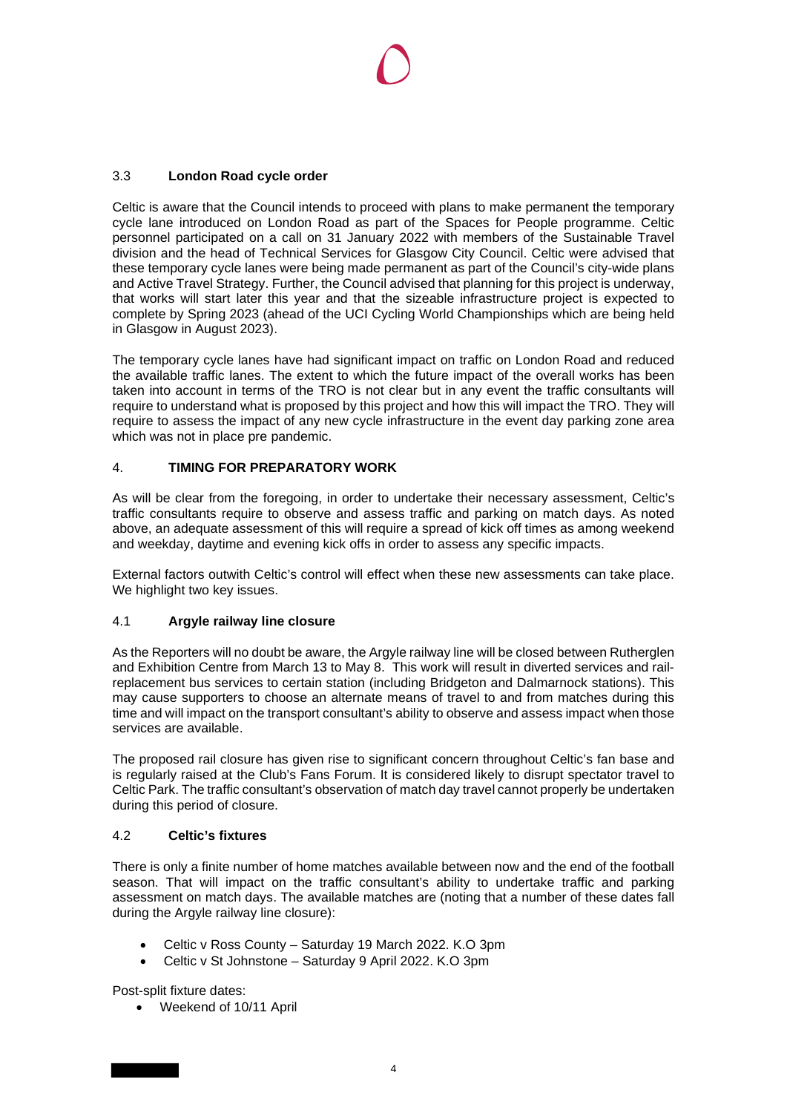# 3.3 **London Road cycle order**

 Celtic is aware that the Council intends to proceed with plans to make permanent the temporary cycle lane introduced on London Road as part of the Spaces for People programme. Celtic personnel participated on a call on 31 January 2022 with members of the Sustainable Travel division and the head of Technical Services for Glasgow City Council. Celtic were advised that these temporary cycle lanes were being made permanent as part of the Council's city-wide plans and Active Travel Strategy. Further, the Council advised that planning for this project is underway, that works will start later this year and that the sizeable infrastructure project is expected to complete by Spring 2023 (ahead of the UCI Cycling World Championships which are being held in Glasgow in August 2023).

 The temporary cycle lanes have had significant impact on traffic on London Road and reduced the available traffic lanes. The extent to which the future impact of the overall works has been taken into account in terms of the TRO is not clear but in any event the traffic consultants will require to understand what is proposed by this project and how this will impact the TRO. They will require to assess the impact of any new cycle infrastructure in the event day parking zone area which was not in place pre pandemic.

# 4. **TIMING FOR PREPARATORY WORK**

 As will be clear from the foregoing, in order to undertake their necessary assessment, Celtic's traffic consultants require to observe and assess traffic and parking on match days. As noted above, an adequate assessment of this will require a spread of kick off times as among weekend and weekday, daytime and evening kick offs in order to assess any specific impacts.

 External factors outwith Celtic's control will effect when these new assessments can take place. We highlight two key issues.

# 4.1 **Argyle railway line closure**

 As the Reporters will no doubt be aware, the Argyle railway line will be closed between Rutherglen and Exhibition Centre from March 13 to May 8. This work will result in diverted services and rail- replacement bus services to certain station (including Bridgeton and Dalmarnock stations). This may cause supporters to choose an alternate means of travel to and from matches during this time and will impact on the transport consultant's ability to observe and assess impact when those services are available.

 The proposed rail closure has given rise to significant concern throughout Celtic's fan base and is regularly raised at the Club's Fans Forum. It is considered likely to disrupt spectator travel to Celtic Park. The traffic consultant's observation of match day travel cannot properly be undertaken during this period of closure.

# 4.2 **Celtic's fixtures**

 There is only a finite number of home matches available between now and the end of the football season. That will impact on the traffic consultant's ability to undertake traffic and parking assessment on match days. The available matches are (noting that a number of these dates fall during the Argyle railway line closure):

- Celtic v Ross County Saturday 19 March 2022. K.O 3pm
- Celtic v St Johnstone Saturday 9 April 2022. K.O 3pm

Post-split fixture dates:

Weekend of 10/11 April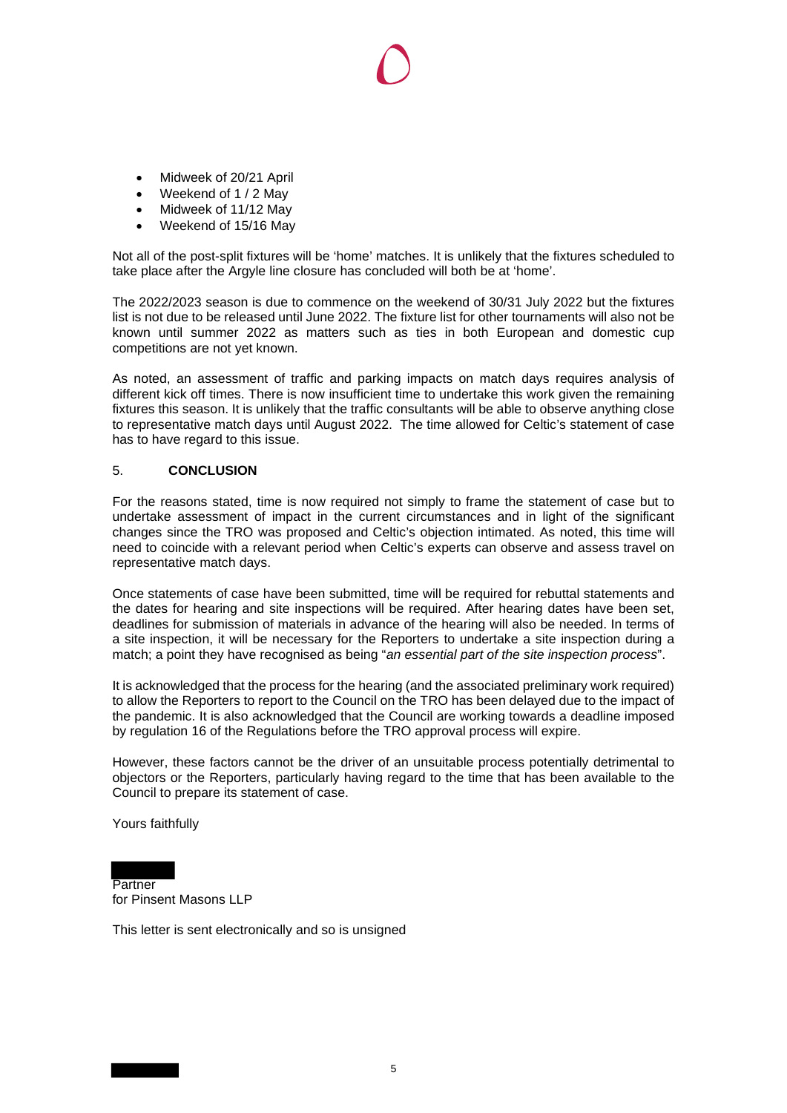- Midweek of 20/21 April
- Weekend of 1 / 2 May
- Midweek of 11/12 May
- Weekend of 15/16 May

 Not all of the post-split fixtures will be 'home' matches. It is unlikely that the fixtures scheduled to take place after the Argyle line closure has concluded will both be at 'home'.

 The 2022/2023 season is due to commence on the weekend of 30/31 July 2022 but the fixtures list is not due to be released until June 2022. The fixture list for other tournaments will also not be known until summer 2022 as matters such as ties in both European and domestic cup competitions are not yet known.

 As noted, an assessment of traffic and parking impacts on match days requires analysis of different kick off times. There is now insufficient time to undertake this work given the remaining fixtures this season. It is unlikely that the traffic consultants will be able to observe anything close to representative match days until August 2022. The time allowed for Celtic's statement of case has to have regard to this issue.

## 5. **CONCLUSION**

 For the reasons stated, time is now required not simply to frame the statement of case but to undertake assessment of impact in the current circumstances and in light of the significant changes since the TRO was proposed and Celtic's objection intimated. As noted, this time will need to coincide with a relevant period when Celtic's experts can observe and assess travel on representative match days.

 Once statements of case have been submitted, time will be required for rebuttal statements and the dates for hearing and site inspections will be required. After hearing dates have been set, deadlines for submission of materials in advance of the hearing will also be needed. In terms of a site inspection, it will be necessary for the Reporters to undertake a site inspection during a match; a point they have recognised as being "*an essential part of the site inspection process*".

 It is acknowledged that the process for the hearing (and the associated preliminary work required) to allow the Reporters to report to the Council on the TRO has been delayed due to the impact of the pandemic. It is also acknowledged that the Council are working towards a deadline imposed by regulation 16 of the Regulations before the TRO approval process will expire.

 However, these factors cannot be the driver of an unsuitable process potentially detrimental to objectors or the Reporters, particularly having regard to the time that has been available to the Council to prepare its statement of case.

Yours faithfully

Partner for Pinsent Masons LLP

This letter is sent electronically and so is unsigned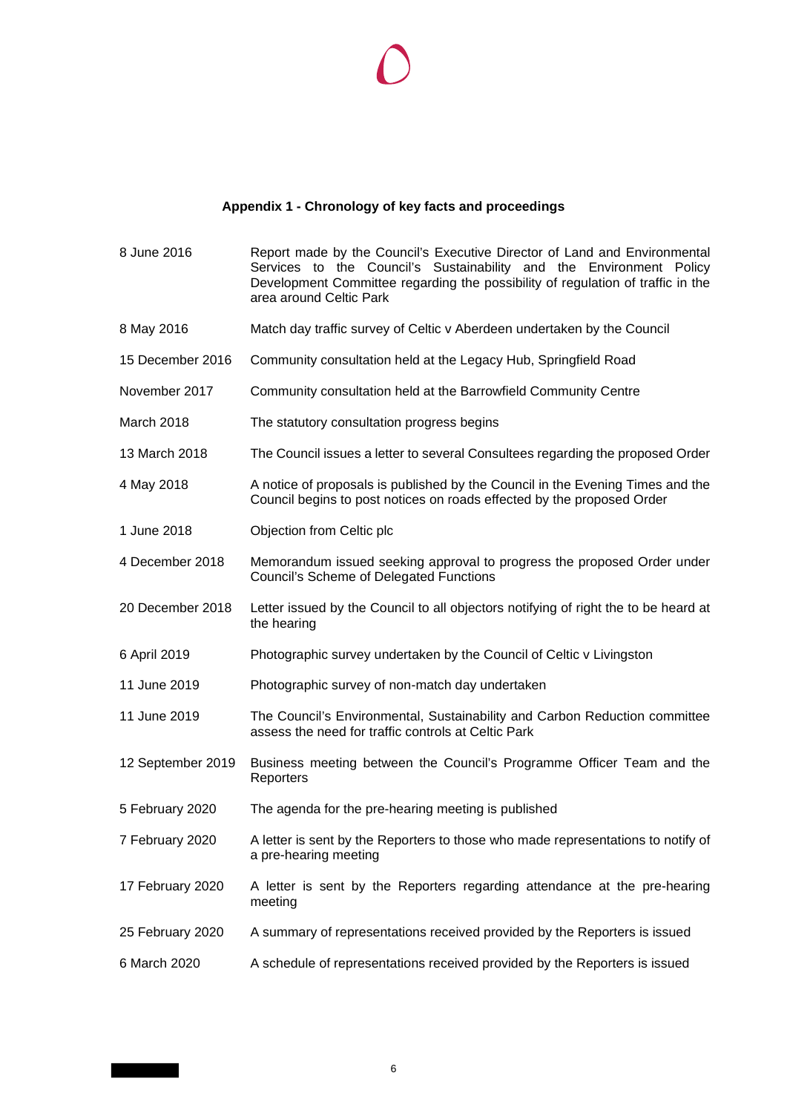# **Appendix 1 - Chronology of key facts and proceedings**

| 8 June 2016       | Report made by the Council's Executive Director of Land and Environmental<br>Services to the Council's Sustainability and the Environment Policy<br>Development Committee regarding the possibility of regulation of traffic in the<br>area around Celtic Park |
|-------------------|----------------------------------------------------------------------------------------------------------------------------------------------------------------------------------------------------------------------------------------------------------------|
| 8 May 2016        | Match day traffic survey of Celtic v Aberdeen undertaken by the Council                                                                                                                                                                                        |
| 15 December 2016  | Community consultation held at the Legacy Hub, Springfield Road                                                                                                                                                                                                |
| November 2017     | Community consultation held at the Barrowfield Community Centre                                                                                                                                                                                                |
| March 2018        | The statutory consultation progress begins                                                                                                                                                                                                                     |
| 13 March 2018     | The Council issues a letter to several Consultees regarding the proposed Order                                                                                                                                                                                 |
| 4 May 2018        | A notice of proposals is published by the Council in the Evening Times and the<br>Council begins to post notices on roads effected by the proposed Order                                                                                                       |
| 1 June 2018       | Objection from Celtic plc                                                                                                                                                                                                                                      |
| 4 December 2018   | Memorandum issued seeking approval to progress the proposed Order under<br><b>Council's Scheme of Delegated Functions</b>                                                                                                                                      |
| 20 December 2018  | Letter issued by the Council to all objectors notifying of right the to be heard at<br>the hearing                                                                                                                                                             |
| 6 April 2019      | Photographic survey undertaken by the Council of Celtic v Livingston                                                                                                                                                                                           |
| 11 June 2019      | Photographic survey of non-match day undertaken                                                                                                                                                                                                                |
| 11 June 2019      | The Council's Environmental, Sustainability and Carbon Reduction committee<br>assess the need for traffic controls at Celtic Park                                                                                                                              |
| 12 September 2019 | Business meeting between the Council's Programme Officer Team and the<br>Reporters                                                                                                                                                                             |
| 5 February 2020   | The agenda for the pre-hearing meeting is published                                                                                                                                                                                                            |
| 7 February 2020   | A letter is sent by the Reporters to those who made representations to notify of<br>a pre-hearing meeting                                                                                                                                                      |
| 17 February 2020  | A letter is sent by the Reporters regarding attendance at the pre-hearing<br>meeting                                                                                                                                                                           |
| 25 February 2020  | A summary of representations received provided by the Reporters is issued                                                                                                                                                                                      |
| 6 March 2020      | A schedule of representations received provided by the Reporters is issued                                                                                                                                                                                     |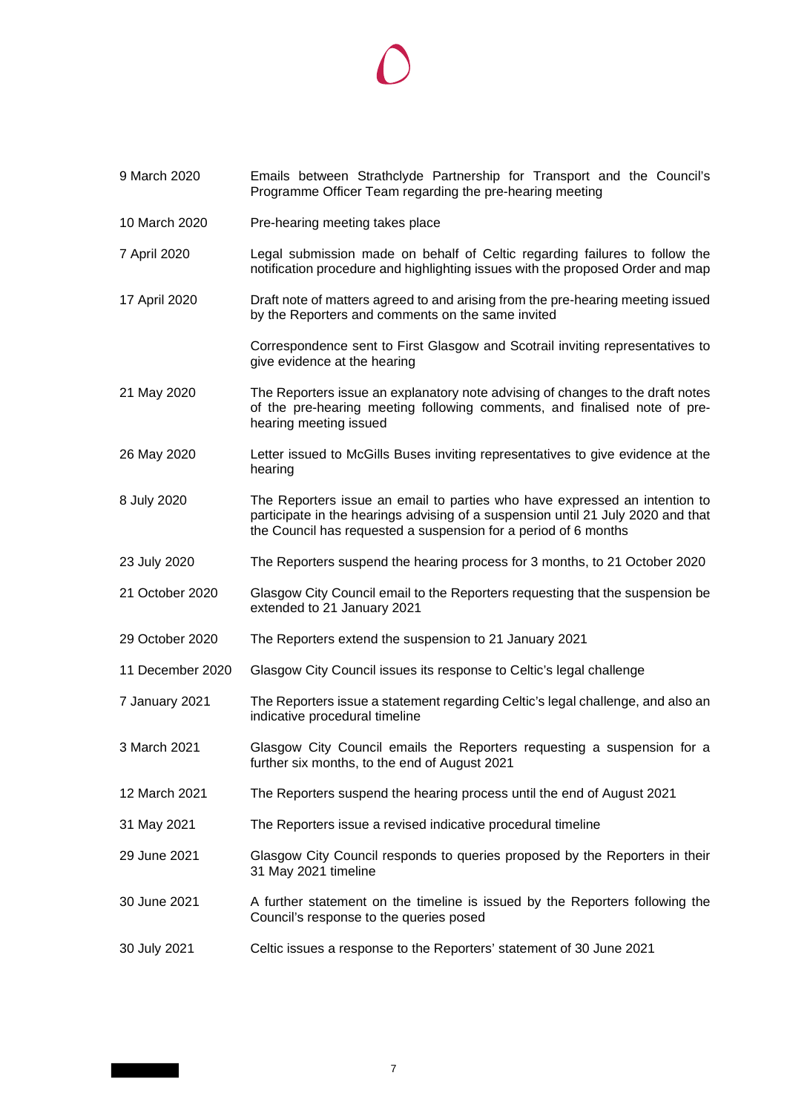# $\bigcirc$

| 9 March 2020     | Emails between Strathclyde Partnership for Transport and the Council's<br>Programme Officer Team regarding the pre-hearing meeting                                                                                                |
|------------------|-----------------------------------------------------------------------------------------------------------------------------------------------------------------------------------------------------------------------------------|
| 10 March 2020    | Pre-hearing meeting takes place                                                                                                                                                                                                   |
| 7 April 2020     | Legal submission made on behalf of Celtic regarding failures to follow the<br>notification procedure and highlighting issues with the proposed Order and map                                                                      |
| 17 April 2020    | Draft note of matters agreed to and arising from the pre-hearing meeting issued<br>by the Reporters and comments on the same invited                                                                                              |
|                  | Correspondence sent to First Glasgow and Scotrail inviting representatives to<br>give evidence at the hearing                                                                                                                     |
| 21 May 2020      | The Reporters issue an explanatory note advising of changes to the draft notes<br>of the pre-hearing meeting following comments, and finalised note of pre-<br>hearing meeting issued                                             |
| 26 May 2020      | Letter issued to McGills Buses inviting representatives to give evidence at the<br>hearing                                                                                                                                        |
| 8 July 2020      | The Reporters issue an email to parties who have expressed an intention to<br>participate in the hearings advising of a suspension until 21 July 2020 and that<br>the Council has requested a suspension for a period of 6 months |
| 23 July 2020     | The Reporters suspend the hearing process for 3 months, to 21 October 2020                                                                                                                                                        |
| 21 October 2020  | Glasgow City Council email to the Reporters requesting that the suspension be<br>extended to 21 January 2021                                                                                                                      |
| 29 October 2020  | The Reporters extend the suspension to 21 January 2021                                                                                                                                                                            |
| 11 December 2020 | Glasgow City Council issues its response to Celtic's legal challenge                                                                                                                                                              |
| 7 January 2021   | The Reporters issue a statement regarding Celtic's legal challenge, and also an<br>indicative procedural timeline                                                                                                                 |
| 3 March 2021     | Glasgow City Council emails the Reporters requesting a suspension for a<br>further six months, to the end of August 2021                                                                                                          |
| 12 March 2021    | The Reporters suspend the hearing process until the end of August 2021                                                                                                                                                            |
| 31 May 2021      | The Reporters issue a revised indicative procedural timeline                                                                                                                                                                      |
| 29 June 2021     | Glasgow City Council responds to queries proposed by the Reporters in their<br>31 May 2021 timeline                                                                                                                               |
| 30 June 2021     | A further statement on the timeline is issued by the Reporters following the<br>Council's response to the queries posed                                                                                                           |
| 30 July 2021     | Celtic issues a response to the Reporters' statement of 30 June 2021                                                                                                                                                              |